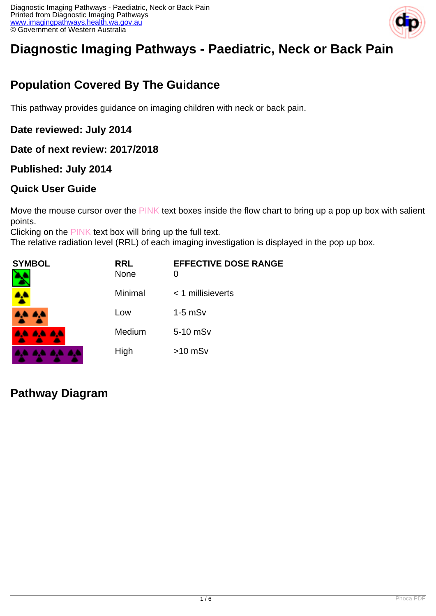

# **Diagnostic Imaging Pathways - Paediatric, Neck or Back Pain**

## **Population Covered By The Guidance**

This pathway provides guidance on imaging children with neck or back pain.

#### **Date reviewed: July 2014**

#### **Date of next review: 2017/2018**

#### **Published: July 2014**

#### **Quick User Guide**

Move the mouse cursor over the PINK text boxes inside the flow chart to bring up a pop up box with salient points.

Clicking on the PINK text box will bring up the full text.

The relative radiation level (RRL) of each imaging investigation is displayed in the pop up box.

| <b>SYMBOL</b><br>٦ | <b>RRL</b><br><b>None</b> | <b>EFFECTIVE DOSE RANGE</b><br>0 |
|--------------------|---------------------------|----------------------------------|
|                    | Minimal                   | $<$ 1 millisieverts              |
| A.A. 4,4           | Low                       | $1-5$ mS $v$                     |
| <b>AA AA AA</b>    | Medium                    | 5-10 mSv                         |
| .                  | High                      | $>10$ mSv                        |

#### **Pathway Diagram**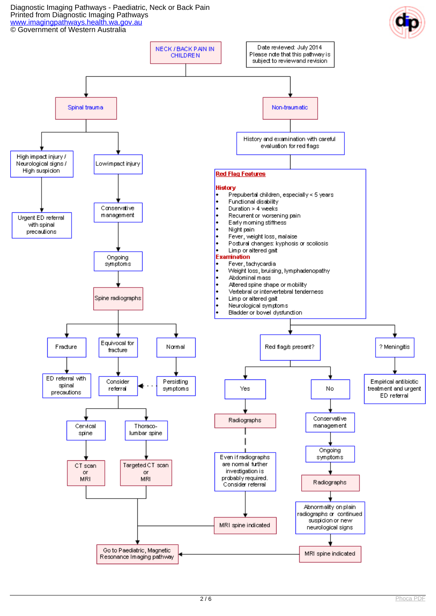Diagnostic Imaging Pathways - Paediatric, Neck or Back Pain Printed from Diagnostic Imaging Pathways [www.imagingpathways.health.wa.gov.au](http://www.imagingpathways.health.wa.gov.au/) © Government of Western Australia

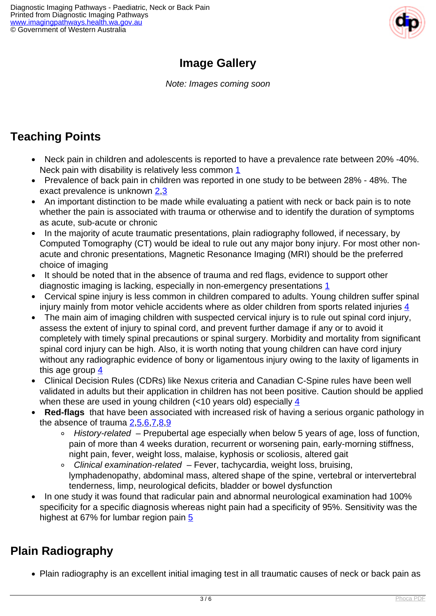

## **Image Gallery**

Note: Images coming soon

## **Teaching Points**

- Neck pain in children and adolescents is reported to have a prevalence rate between 20% -40%. Neck pain with disability is relatively less common [1](index.php?option=com_content&view=article&id=238&tab=references#1)
- Prevalence of back pain in children was reported in one study to be between 28% 48%. The exact prevalence is unknown [2](index.php?option=com_content&view=article&id=238&tab=references#2),[3](index.php?option=com_content&view=article&id=238&tab=references#3)
- An important distinction to be made while evaluating a patient with neck or back pain is to note whether the pain is associated with trauma or otherwise and to identify the duration of symptoms as acute, sub-acute or chronic
- In the majority of acute traumatic presentations, plain radiography followed, if necessary, by Computed Tomography (CT) would be ideal to rule out any major bony injury. For most other nonacute and chronic presentations, Magnetic Resonance Imaging (MRI) should be the preferred choice of imaging
- It should be noted that in the absence of trauma and red flags, evidence to support other diagnostic imaging is lacking, especially in non-emergency presentations [1](index.php?option=com_content&view=article&id=238&tab=references#1)
- Cervical spine injury is less common in children compared to adults. Young children suffer spinal injury mainly from motor vehicle accidents where as older children from sports related injuries  $\frac{4}{3}$
- The main aim of imaging children with suspected cervical injury is to rule out spinal cord injury, assess the extent of injury to spinal cord, and prevent further damage if any or to avoid it completely with timely spinal precautions or spinal surgery. Morbidity and mortality from significant spinal cord injury can be high. Also, it is worth noting that young children can have cord injury without any radiographic evidence of bony or ligamentous injury owing to the laxity of ligaments in this age group [4](index.php?option=com_content&view=article&id=238&tab=references#4)
- Clinical Decision Rules (CDRs) like Nexus criteria and Canadian C-Spine rules have been well validated in adults but their application in children has not been positive. Caution should be applied when these are used in young children (<10 years old) especially  $\frac{4}{3}$  $\frac{4}{3}$  $\frac{4}{3}$
- **Red-flags** that have been associated with increased risk of having a serious organic pathology in the absence of trauma  $2,5,6,7,8,9$  $2,5,6,7,8,9$  $2,5,6,7,8,9$  $2,5,6,7,8,9$  $2,5,6,7,8,9$  $2,5,6,7,8,9$ 
	- History-related Prepubertal age especially when below 5 years of age, loss of function, pain of more than 4 weeks duration, recurrent or worsening pain, early-morning stiffness, night pain, fever, weight loss, malaise, kyphosis or scoliosis, altered gait
	- $\circ$  Clinical examination-related Fever, tachycardia, weight loss, bruising, lymphadenopathy, abdominal mass, altered shape of the spine, vertebral or intervertebral tenderness, limp, neurological deficits, bladder or bowel dysfunction
- In one study it was found that radicular pain and abnormal neurological examination had 100% specificity for a specific diagnosis whereas night pain had a specificity of 95%. Sensitivity was the highest at 67% for lumbar region pain [5](index.php?option=com_content&view=article&id=238&tab=references#5)

## **Plain Radiography**

Plain radiography is an excellent initial imaging test in all traumatic causes of neck or back pain as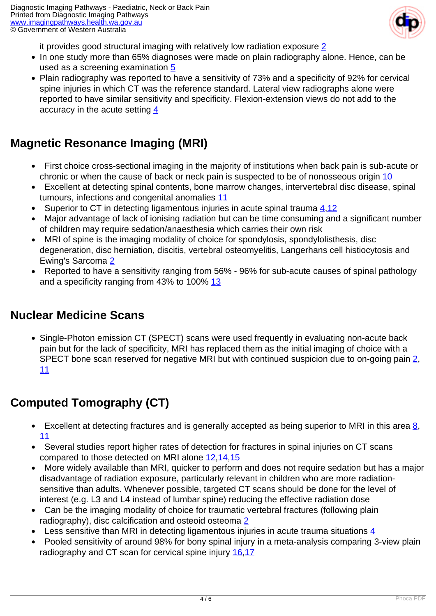

it provides good structural imaging with relatively low radiation exposure [2](index.php?option=com_content&view=article&id=238&tab=references#2)

- In one study more than 65% diagnoses were made on plain radiography alone. Hence, can be used as a screening examination  $5$
- Plain radiography was reported to have a sensitivity of 73% and a specificity of 92% for cervical spine injuries in which CT was the reference standard. Lateral view radiographs alone were reported to have similar sensitivity and specificity. Flexion-extension views do not add to the accuracy in the acute setting  $\frac{4}{5}$  $\frac{4}{5}$  $\frac{4}{5}$

## **Magnetic Resonance Imaging (MRI)**

- First choice cross-sectional imaging in the majority of institutions when back pain is sub-acute or chronic or when the cause of back or neck pain is suspected to be of nonosseous origin [10](index.php?option=com_content&view=article&id=238&tab=references#10)
- Excellent at detecting spinal contents, bone marrow changes, intervertebral disc disease, spinal tumours, infections and congenital anomalies [11](index.php?option=com_content&view=article&id=238&tab=references#11)
- Superior to CT in detecting ligamentous injuries in acute spinal trauma  $4,12$  $4,12$
- Major advantage of lack of ionising radiation but can be time consuming and a significant number of children may require sedation/anaesthesia which carries their own risk
- MRI of spine is the imaging modality of choice for spondylosis, spondylolisthesis, disc degeneration, disc herniation, discitis, vertebral osteomyelitis, Langerhans cell histiocytosis and Ewing's Sarcoma [2](index.php?option=com_content&view=article&id=238&tab=references#2)
- Reported to have a sensitivity ranging from 56% 96% for sub-acute causes of spinal pathology and a specificity ranging from 43% to 100% [13](index.php?option=com_content&view=article&id=238&tab=references#13)

#### **Nuclear Medicine Scans**

• Single-Photon emission CT (SPECT) scans were used frequently in evaluating non-acute back pain but for the lack of specificity, MRI has replaced them as the initial imaging of choice with a SPECT bone scan reserved for negative MRI but with continued suspicion due to on-going pain [2](index.php?option=com_content&view=article&id=238&tab=references#2), [11](index.php?option=com_content&view=article&id=238&tab=references#11)

## **Computed Tomography (CT)**

- Excellent at detecting fractures and is generally accepted as being superior to MRI in this area  $\underline{8}$  $\underline{8}$  $\underline{8}$ ,  $\bullet$ [11](index.php?option=com_content&view=article&id=238&tab=references#11)
- Several studies report higher rates of detection for fractures in spinal injuries on CT scans compared to those detected on MRI alone [12](index.php?option=com_content&view=article&id=238&tab=references#12),[14](index.php?option=com_content&view=article&id=238&tab=references#14)[,15](index.php?option=com_content&view=article&id=238&tab=references#15)
- More widely available than MRI, quicker to perform and does not require sedation but has a major disadvantage of radiation exposure, particularly relevant in children who are more radiationsensitive than adults. Whenever possible, targeted CT scans should be done for the level of interest (e.g. L3 and L4 instead of lumbar spine) reducing the effective radiation dose
- Can be the imaging modality of choice for traumatic vertebral fractures (following plain  $\bullet$ radiography), disc calcification and osteoid osteoma [2](index.php?option=com_content&view=article&id=238&tab=references#2)
- **•** Less sensitive than MRI in detecting ligamentous injuries in acute trauma situations  $\frac{4}{5}$  $\frac{4}{5}$  $\frac{4}{5}$
- Pooled sensitivity of around 98% for bony spinal injury in a meta-analysis comparing 3-view plain radiography and CT scan for cervical spine injury [16](index.php?option=com_content&view=article&id=238&tab=references#16)[,17](index.php?option=com_content&view=article&id=238&tab=references#17)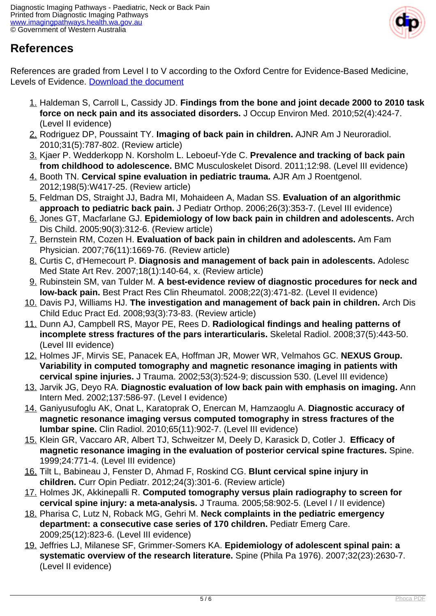

### **References**

References are graded from Level I to V according to the Oxford Centre for Evidence-Based Medicine, Levels of Evidence. [Download the document](http://www.cebm.net/wp-content/uploads/2014/06/CEBM-Levels-of-Evidence-2.1.pdf)

- 1. Haldeman S, Carroll L, Cassidy JD. **Findings from the bone and joint decade 2000 to 2010 task force on neck pain and its associated disorders.** J Occup Environ Med. 2010;52(4):424-7. (Level II evidence)
- 2. Rodriguez DP, Poussaint TY. **Imaging of back pain in children.** AJNR Am J Neuroradiol. 2010;31(5):787-802. (Review article)
- 3. Kjaer P. Wedderkopp N. Korsholm L. Leboeuf-Yde C. **Prevalence and tracking of back pain from childhood to adolescence.** BMC Musculoskelet Disord. 2011;12:98. (Level III evidence)
- 4. Booth TN. **Cervical spine evaluation in pediatric trauma.** AJR Am J Roentgenol. 2012;198(5):W417-25. (Review article)
- 5. Feldman DS, Straight JJ, Badra MI, Mohaideen A, Madan SS. **Evaluation of an algorithmic approach to pediatric back pain.** J Pediatr Orthop. 2006;26(3):353-7. (Level III evidence)
- 6. Jones GT, Macfarlane GJ. **Epidemiology of low back pain in children and adolescents.** Arch Dis Child. 2005;90(3):312-6. (Review article)
- 7. Bernstein RM, Cozen H. **Evaluation of back pain in children and adolescents.** Am Fam Physician. 2007;76(11):1669-76. (Review article)
- 8. Curtis C, d'Hemecourt P. **Diagnosis and management of back pain in adolescents.** Adolesc Med State Art Rev. 2007;18(1):140-64, x. (Review article)
- 9. Rubinstein SM, van Tulder M. **A best-evidence review of diagnostic procedures for neck and low-back pain.** Best Pract Res Clin Rheumatol. 2008;22(3):471-82. (Level II evidence)
- 10. Davis PJ, Williams HJ. **The investigation and management of back pain in children.** Arch Dis Child Educ Pract Ed. 2008;93(3):73-83. (Review article)
- 11. Dunn AJ, Campbell RS, Mayor PE, Rees D. **Radiological findings and healing patterns of incomplete stress fractures of the pars interarticularis.** Skeletal Radiol. 2008;37(5):443-50. (Level III evidence)
- 12. Holmes JF, Mirvis SE, Panacek EA, Hoffman JR, Mower WR, Velmahos GC. **NEXUS Group. Variability in computed tomography and magnetic resonance imaging in patients with cervical spine injuries.** J Trauma. 2002;53(3):524-9; discussion 530. (Level III evidence)
- 13. Jarvik JG, Deyo RA. **Diagnostic evaluation of low back pain with emphasis on imaging.** Ann Intern Med. 2002;137:586-97. (Level I evidence)
- 14. Ganiyusufoglu AK, Onat L, Karatoprak O, Enercan M, Hamzaoglu A. **Diagnostic accuracy of magnetic resonance imaging versus computed tomography in stress fractures of the lumbar spine.** Clin Radiol. 2010;65(11):902-7. (Level III evidence)
- 15. Klein GR, Vaccaro AR, Albert TJ, Schweitzer M, Deely D, Karasick D, Cotler J. **Efficacy of magnetic resonance imaging in the evaluation of posterior cervical spine fractures.** Spine. 1999;24:771-4. (Level III evidence)
- 16. Tilt L, Babineau J, Fenster D, Ahmad F, Roskind CG. **Blunt cervical spine injury in children.** Curr Opin Pediatr. 2012;24(3):301-6. (Review article)
- 17. Holmes JK, Akkinepalli R. **Computed tomography versus plain radiography to screen for cervical spine injury: a meta-analysis.** J Trauma. 2005;58:902-5. (Level I / II evidence)
- 18. Pharisa C, Lutz N, Roback MG, Gehri M. **Neck complaints in the pediatric emergency department: a consecutive case series of 170 children.** Pediatr Emerg Care. 2009;25(12):823-6. (Level III evidence)
- 19. Jeffries LJ, Milanese SF, Grimmer-Somers KA. **Epidemiology of adolescent spinal pain: a systematic overview of the research literature.** Spine (Phila Pa 1976). 2007;32(23):2630-7. (Level II evidence)